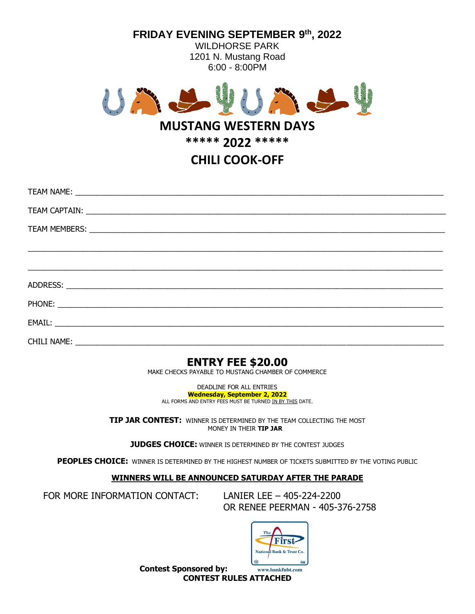

 $EMAIL:$ 

CHILI NAME: \_\_\_\_\_\_\_\_\_\_\_\_\_\_\_\_\_\_\_\_\_\_\_\_\_\_\_\_\_\_\_\_\_\_\_\_\_\_\_\_\_\_\_\_\_\_\_\_\_\_\_\_\_\_\_\_\_\_\_\_\_\_\_\_\_\_\_\_\_\_\_\_\_\_\_\_\_\_\_\_\_\_\_\_\_\_\_

## **ENTRY FEE \$20.00**

MAKE CHECKS PAYABLE TO MUSTANG CHAMBER OF COMMERCE

DEADLINE FOR ALL ENTRIES **Wednesday, September 2, 2022** ALL FORMS AND ENTRY FEES MUST BE TURNED IN BY THIS DATE.

**TIP JAR CONTEST:** WINNER IS DETERMINED BY THE TEAM COLLECTING THE MOST MONEY IN THEIR **TIP JAR** 

**JUDGES CHOICE:** WINNER IS DETERMINED BY THE CONTEST JUDGES

**PEOPLES CHOICE:** WINNER IS DETERMINED BY THE HIGHEST NUMBER OF TICKETS SUBMITTED BY THE VOTING PUBLIC

## **WINNERS WILL BE ANNOUNCED SATURDAY AFTER THE PARADE**

FOR MORE INFORMATION CONTACT: LANIER LEE – 405-224-2200

OR RENEE PEERMAN - 405-376-2758



**Contest Sponsored by: CONTEST RULES ATTACHED**